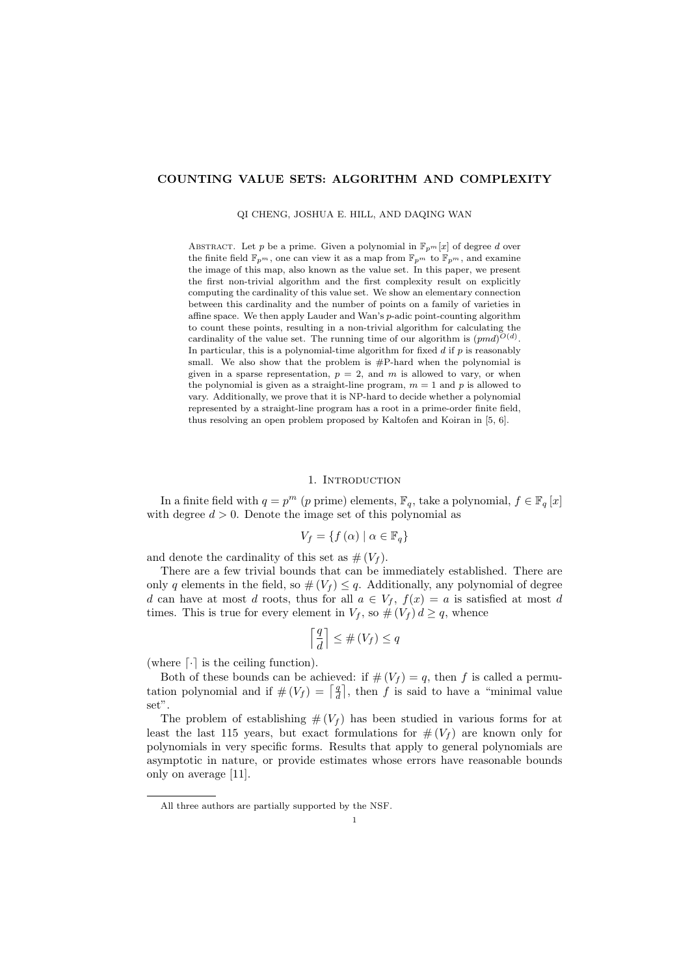# **COUNTING VALUE SETS: ALGORITHM AND COMPLEXITY**

QI CHENG, JOSHUA E. HILL, AND DAQING WAN

ABSTRACT. Let *p* be a prime. Given a polynomial in  $\mathbb{F}_{p^m}[x]$  of degree *d* over the finite field  $\mathbb{F}_{p^m}$ , one can view it as a map from  $\mathbb{F}_{p^m}$  to  $\mathbb{F}_{p^m}$ , and examine the image of this map, also known as the value set. In this paper, we present the first non-trivial algorithm and the first complexity result on explicitly computing the cardinality of this value set. We show an elementary connection between this cardinality and the number of points on a family of varieties in affine space. We then apply Lauder and Wan's *p*-adic point-counting algorithm to count these points, resulting in a non-trivial algorithm for calculating the cardinality of the value set. The running time of our algorithm is  $(pmd)^{O(d)}$ . In particular, this is a polynomial-time algorithm for fixed *d* if *p* is reasonably small. We also show that the problem is  $\#P$ -hard when the polynomial is given in a sparse representation,  $p = 2$ , and  $m$  is allowed to vary, or when the polynomial is given as a straight-line program,  $m = 1$  and  $p$  is allowed to vary. Additionally, we prove that it is NP-hard to decide whether a polynomial represented by a straight-line program has a root in a prime-order finite field, thus resolving an open problem proposed by Kaltofen and Koiran in [5, 6].

# 1. INTRODUCTION

In a finite field with  $q = p^m$  (*p* prime) elements,  $\mathbb{F}_q$ , take a polynomial,  $f \in \mathbb{F}_q[x]$ with degree  $d > 0$ . Denote the image set of this polynomial as

$$
V_f = \{ f(\alpha) \mid \alpha \in \mathbb{F}_q \}
$$

and denote the cardinality of this set as  $# (V_f)$ .

There are a few trivial bounds that can be immediately established. There are only *q* elements in the field, so  $\#(V_f) \leq q$ . Additionally, any polynomial of degree *d* can have at most *d* roots, thus for all  $a \in V_f$ ,  $f(x) = a$  is satisfied at most *d* times. This is true for every element in  $V_f$ , so  $\#(V_f) d \geq q$ , whence

$$
\left\lceil \frac{q}{d}\right\rceil \leq \#\left(V_f\right) \leq q
$$

(where *⌈·⌉* is the ceiling function).

Both of these bounds can be achieved: if  $# (V_f) = q$ , then *f* is called a permutation polynomial and if  $\#(V_f) = \lceil \frac{q}{d} \rceil$ , then *f* is said to have a "minimal value" set".

The problem of establishing  $# (V_f)$  has been studied in various forms for at least the last 115 years, but exact formulations for  $# (V_f)$  are known only for polynomials in very specific forms. Results that apply to general polynomials are asymptotic in nature, or provide estimates whose errors have reasonable bounds only on average [11].

All three authors are partially supported by the NSF.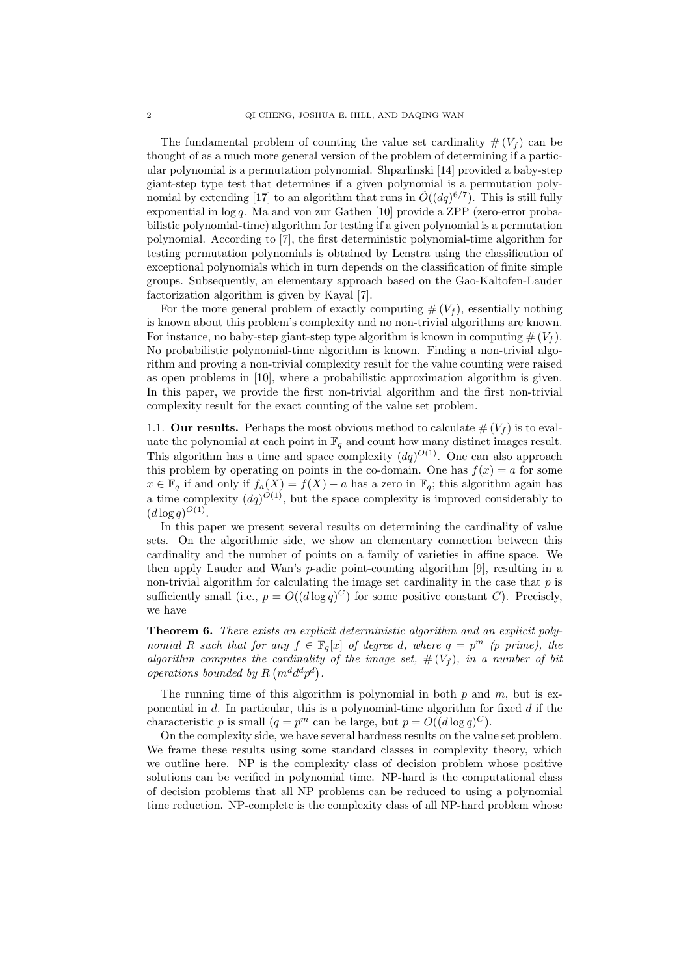The fundamental problem of counting the value set cardinality  $# (V_f)$  can be thought of as a much more general version of the problem of determining if a particular polynomial is a permutation polynomial. Shparlinski [14] provided a baby-step giant-step type test that determines if a given polynomial is a permutation polynomial by extending [17] to an algorithm that runs in  $\tilde{O}((dq)^{6/7})$ . This is still fully exponential in log *q*. Ma and von zur Gathen [10] provide a ZPP (zero-error probabilistic polynomial-time) algorithm for testing if a given polynomial is a permutation polynomial. According to [7], the first deterministic polynomial-time algorithm for testing permutation polynomials is obtained by Lenstra using the classification of exceptional polynomials which in turn depends on the classification of finite simple groups. Subsequently, an elementary approach based on the Gao-Kaltofen-Lauder factorization algorithm is given by Kayal [7].

For the more general problem of exactly computing  $# (V_f)$ , essentially nothing is known about this problem's complexity and no non-trivial algorithms are known. For instance, no baby-step giant-step type algorithm is known in computing  $# (V_f)$ . No probabilistic polynomial-time algorithm is known. Finding a non-trivial algorithm and proving a non-trivial complexity result for the value counting were raised as open problems in [10], where a probabilistic approximation algorithm is given. In this paper, we provide the first non-trivial algorithm and the first non-trivial complexity result for the exact counting of the value set problem.

1.1. **Our results.** Perhaps the most obvious method to calculate  $\# (V_f)$  is to evaluate the polynomial at each point in  $\mathbb{F}_q$  and count how many distinct images result. This algorithm has a time and space complexity  $(dq)^{O(1)}$ . One can also approach this problem by operating on points in the co-domain. One has  $f(x) = a$  for some *x* ∈  $\mathbb{F}_q$  if and only if  $f_q(X) = f(X) - q$  has a zero in  $\mathbb{F}_q$ ; this algorithm again has a time complexity  $(dq)^{O(1)}$ , but the space complexity is improved considerably to  $(d \log q)^{O(1)}$ .

In this paper we present several results on determining the cardinality of value sets. On the algorithmic side, we show an elementary connection between this cardinality and the number of points on a family of varieties in affine space. We then apply Lauder and Wan's *p*-adic point-counting algorithm [9], resulting in a non-trivial algorithm for calculating the image set cardinality in the case that *p* is sufficiently small (i.e.,  $p = O((d \log q)^C)$  for some positive constant *C*). Precisely, we have

**Theorem 6.** *There exists an explicit deterministic algorithm and an explicit polynomial R such that for any*  $f \in \mathbb{F}_q[x]$  *of degree d, where*  $q = p^m$  *(p prime), the algorithm computes the cardinality of the image set,*  $\#(V_f)$ *, in a number of bit operations bounded by*  $R(m^d d^d p^d)$ .

The running time of this algorithm is polynomial in both *p* and *m*, but is exponential in *d*. In particular, this is a polynomial-time algorithm for fixed *d* if the characteristic *p* is small  $(q = p^m \text{ can be large, but } p = O((d \log q)^C).$ 

On the complexity side, we have several hardness results on the value set problem. We frame these results using some standard classes in complexity theory, which we outline here. NP is the complexity class of decision problem whose positive solutions can be verified in polynomial time. NP-hard is the computational class of decision problems that all NP problems can be reduced to using a polynomial time reduction. NP-complete is the complexity class of all NP-hard problem whose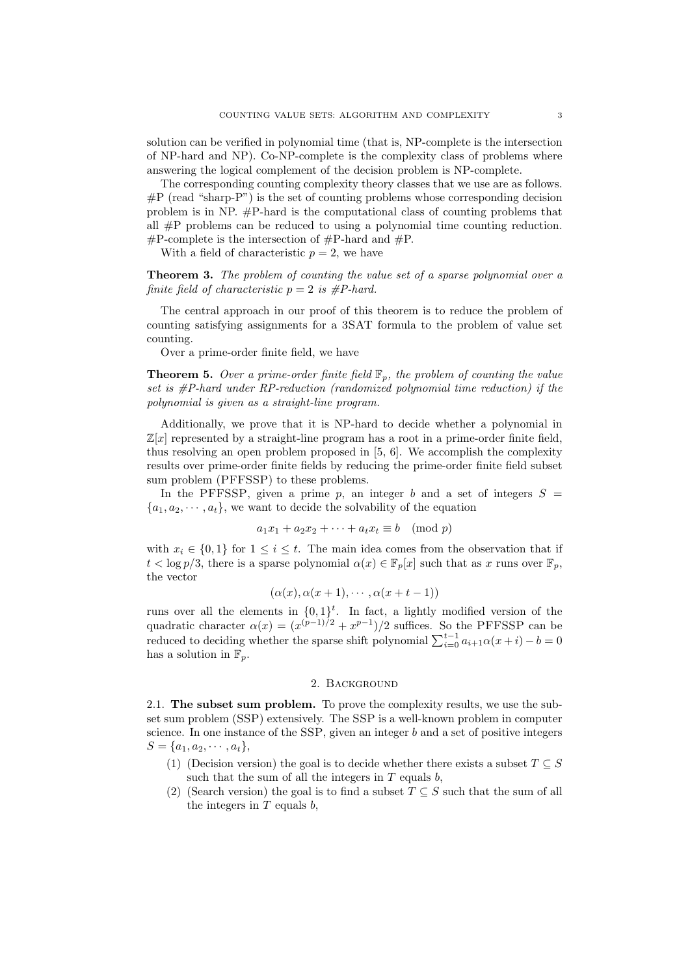solution can be verified in polynomial time (that is, NP-complete is the intersection of NP-hard and NP). Co-NP-complete is the complexity class of problems where answering the logical complement of the decision problem is NP-complete.

The corresponding counting complexity theory classes that we use are as follows.  $\#P$  (read "sharp-P") is the set of counting problems whose corresponding decision problem is in NP. #P-hard is the computational class of counting problems that all #P problems can be reduced to using a polynomial time counting reduction.  $\#P$ -complete is the intersection of  $\#P$ -hard and  $\#P$ .

With a field of characteristic  $p = 2$ , we have

**Theorem 3.** *The problem of counting the value set of a sparse polynomial over a finite field of characteristic*  $p = 2$  *is #P-hard.* 

The central approach in our proof of this theorem is to reduce the problem of counting satisfying assignments for a 3SAT formula to the problem of value set counting.

Over a prime-order finite field, we have

**Theorem 5.** *Over a prime-order finite field*  $\mathbb{F}_p$ *, the problem of counting the value set is #P-hard under RP-reduction (randomized polynomial time reduction) if the polynomial is given as a straight-line program.*

Additionally, we prove that it is NP-hard to decide whether a polynomial in  $\mathbb{Z}[x]$  represented by a straight-line program has a root in a prime-order finite field, thus resolving an open problem proposed in [5, 6]. We accomplish the complexity results over prime-order finite fields by reducing the prime-order finite field subset sum problem (PFFSSP) to these problems.

In the PFFSSP, given a prime  $p$ , an integer  $b$  and a set of integers  $S =$  ${a_1, a_2, \dots, a_t}$ , we want to decide the solvability of the equation

$$
a_1x_1 + a_2x_2 + \dots + a_tx_t \equiv b \pmod{p}
$$

with  $x_i \in \{0,1\}$  for  $1 \leq i \leq t$ . The main idea comes from the observation that if  $t < \log p/3$ , there is a sparse polynomial  $\alpha(x) \in \mathbb{F}_p[x]$  such that as *x* runs over  $\mathbb{F}_p$ , the vector

$$
(\alpha(x), \alpha(x+1), \cdots, \alpha(x+t-1))
$$

runs over all the elements in  $\{0,1\}^t$ . In fact, a lightly modified version of the quadratic character  $\alpha(x) = (x^{(p-1)/2} + x^{p-1})/2$  suffices. So the PFFSSP can be reduced to deciding whether the sparse shift polynomial  $\sum_{i=0}^{t-1} a_{i+1} \alpha(x+i) - b = 0$ has a solution in  $\mathbb{F}_p$ .

## 2. Background

2.1. **The subset sum problem.** To prove the complexity results, we use the subset sum problem (SSP) extensively. The SSP is a well-known problem in computer science. In one instance of the SSP, given an integer *b* and a set of positive integers  $S = \{a_1, a_2, \cdots, a_t\},\$ 

- (1) (Decision version) the goal is to decide whether there exists a subset  $T \subseteq S$ such that the sum of all the integers in *T* equals *b*,
- (2) (Search version) the goal is to find a subset  $T \subseteq S$  such that the sum of all the integers in *T* equals *b*,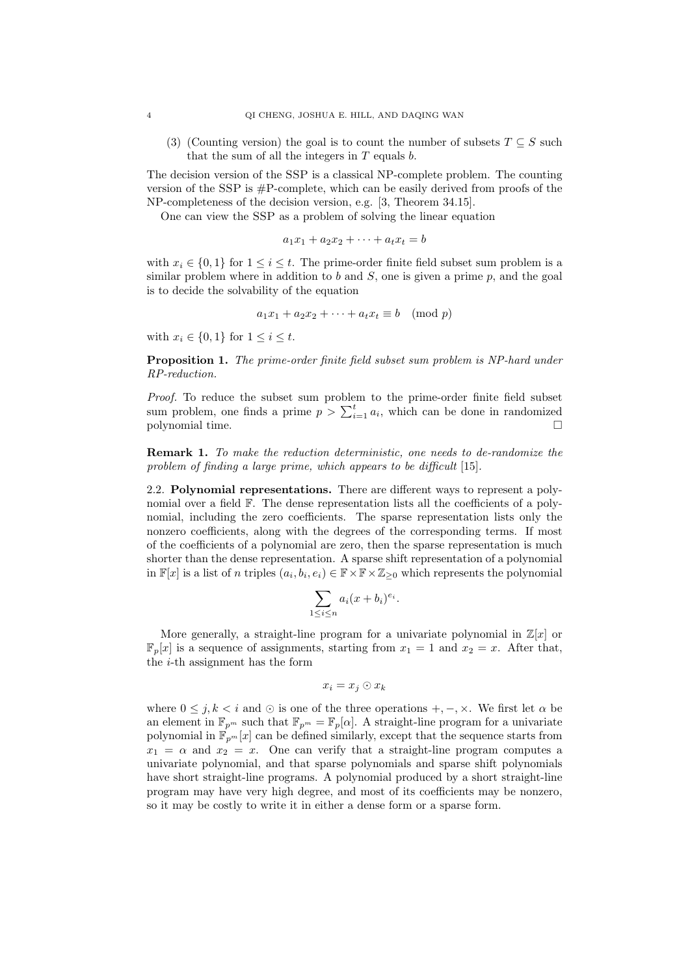(3) (Counting version) the goal is to count the number of subsets  $T \subseteq S$  such that the sum of all the integers in *T* equals *b*.

The decision version of the SSP is a classical NP-complete problem. The counting version of the SSP is #P-complete, which can be easily derived from proofs of the NP-completeness of the decision version, e.g. [3, Theorem 34.15].

One can view the SSP as a problem of solving the linear equation

$$
a_1x_1 + a_2x_2 + \cdots + a_tx_t = b
$$

with  $x_i \in \{0, 1\}$  for  $1 \leq i \leq t$ . The prime-order finite field subset sum problem is a similar problem where in addition to *b* and *S*, one is given a prime *p*, and the goal is to decide the solvability of the equation

$$
a_1x_1 + a_2x_2 + \dots + a_tx_t \equiv b \pmod{p}
$$

with  $x_i \in \{0, 1\}$  for  $1 \leq i \leq t$ .

**Proposition 1.** *The prime-order finite field subset sum problem is NP-hard under RP-reduction.*

*Proof.* To reduce the subset sum problem to the prime-order finite field subset sum problem, one finds a prime  $p > \sum_{i=1}^{t} a_i$ , which can be done in randomized polynomial time.

**Remark 1.** *To make the reduction deterministic, one needs to de-randomize the problem of finding a large prime, which appears to be difficult* [15]*.*

2.2. **Polynomial representations.** There are different ways to represent a polynomial over a field F. The dense representation lists all the coefficients of a polynomial, including the zero coefficients. The sparse representation lists only the nonzero coefficients, along with the degrees of the corresponding terms. If most of the coefficients of a polynomial are zero, then the sparse representation is much shorter than the dense representation. A sparse shift representation of a polynomial in  $\mathbb{F}[x]$  is a list of *n* triples  $(a_i, b_i, e_i) \in \mathbb{F} \times \mathbb{F} \times \mathbb{Z}_{\geq 0}$  which represents the polynomial

$$
\sum_{1 \le i \le n} a_i (x + b_i)^{e_i}.
$$

More generally, a straight-line program for a univariate polynomial in  $\mathbb{Z}[x]$  or  $\mathbb{F}_p[x]$  is a sequence of assignments, starting from  $x_1 = 1$  and  $x_2 = x$ . After that, the *i*-th assignment has the form

$$
x_i = x_j \odot x_k
$$

where  $0 \leq j, k \leq i$  and  $\odot$  is one of the three operations  $+,-,\times$ . We first let  $\alpha$  be an element in  $\mathbb{F}_{p^m}$  such that  $\mathbb{F}_{p^m} = \mathbb{F}_p[\alpha]$ . A straight-line program for a univariate polynomial in  $\mathbb{F}_{p^m}[x]$  can be defined similarly, except that the sequence starts from  $x_1 = \alpha$  and  $x_2 = x$ . One can verify that a straight-line program computes a univariate polynomial, and that sparse polynomials and sparse shift polynomials have short straight-line programs. A polynomial produced by a short straight-line program may have very high degree, and most of its coefficients may be nonzero, so it may be costly to write it in either a dense form or a sparse form.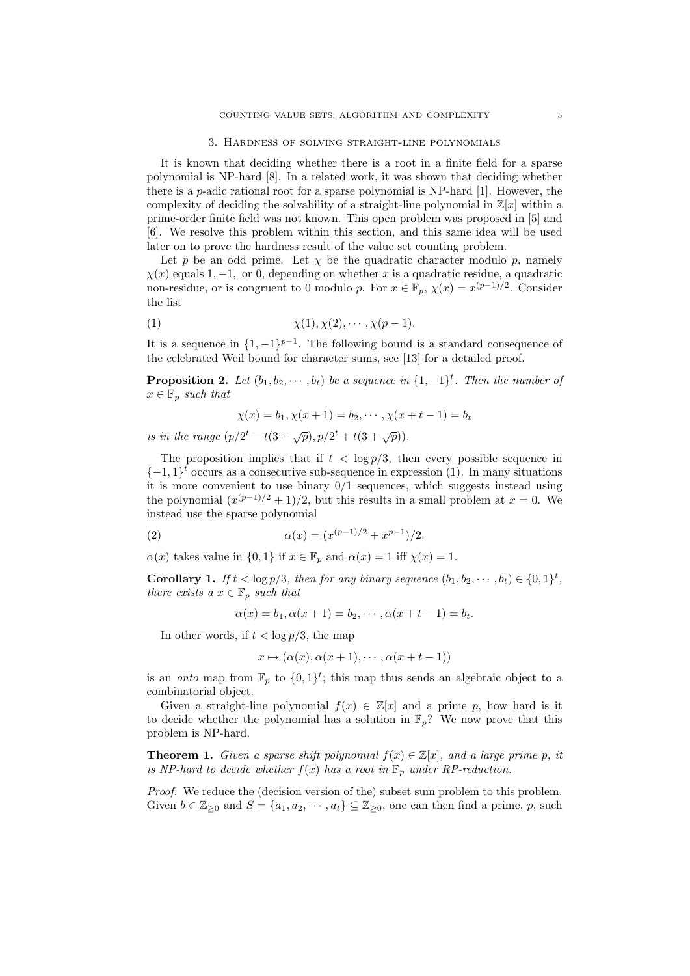#### 3. Hardness of solving straight-line polynomials

It is known that deciding whether there is a root in a finite field for a sparse polynomial is NP-hard [8]. In a related work, it was shown that deciding whether there is a *p*-adic rational root for a sparse polynomial is NP-hard [1]. However, the complexity of deciding the solvability of a straight-line polynomial in  $\mathbb{Z}[x]$  within a prime-order finite field was not known. This open problem was proposed in [5] and [6]. We resolve this problem within this section, and this same idea will be used later on to prove the hardness result of the value set counting problem.

Let  $p$  be an odd prime. Let  $\chi$  be the quadratic character modulo  $p$ , namely *χ*(*x*) equals 1*, −*1*,* or 0, depending on whether *x* is a quadratic residue, a quadratic non-residue, or is congruent to 0 modulo *p*. For  $x \in \mathbb{F}_p$ ,  $\chi(x) = x^{(p-1)/2}$ . Consider the list

(1) 
$$
\chi(1), \chi(2), \cdots, \chi(p-1).
$$

It is a sequence in  $\{1, -1\}^{p-1}$ . The following bound is a standard consequence of the celebrated Weil bound for character sums, see [13] for a detailed proof.

**Proposition 2.** Let  $(b_1, b_2, \dots, b_t)$  be a sequence in  $\{1, -1\}^t$ . Then the number of  $x \in \mathbb{F}_p$  *such that* 

$$
\chi(x) = b_1, \chi(x+1) = b_2, \cdots, \chi(x+t-1) = b_t
$$

*is in the range*  $(p/2^t - t(3+\sqrt{p}), p/2^t + t(3+\sqrt{p})).$ 

The proposition implies that if  $t < \log p/3$ , then every possible sequence in  $\{-1,1\}^t$  occurs as a consecutive sub-sequence in expression (1). In many situations it is more convenient to use binary 0*/*1 sequences, which suggests instead using the polynomial  $(x^{(p-1)/2}+1)/2$ , but this results in a small problem at  $x=0$ . We instead use the sparse polynomial

(2) 
$$
\alpha(x) = (x^{(p-1)/2} + x^{p-1})/2.
$$

*α*(*x*) takes value in  $\{0,1\}$  if  $x \in \mathbb{F}_p$  and  $\alpha(x) = 1$  iff  $\chi(x) = 1$ .

**Corollary 1.** *If*  $t < \log p/3$ *, then for any binary sequence*  $(b_1, b_2, \dots, b_t) \in \{0, 1\}^t$ , *there exists a*  $x \in \mathbb{F}_p$  *such that* 

$$
\alpha(x) = b_1, \alpha(x+1) = b_2, \cdots, \alpha(x+t-1) = b_t.
$$

In other words, if  $t < \log p/3$ , the map

$$
x \mapsto (\alpha(x), \alpha(x+1), \cdots, \alpha(x+t-1))
$$

is an *onto* map from  $\mathbb{F}_p$  to  $\{0,1\}^t$ ; this map thus sends an algebraic object to a combinatorial object.

Given a straight-line polynomial  $f(x) \in \mathbb{Z}[x]$  and a prime p, how hard is it to decide whether the polynomial has a solution in  $\mathbb{F}_p$ ? We now prove that this problem is NP-hard.

**Theorem 1.** *Given a sparse shift polynomial*  $f(x) \in \mathbb{Z}[x]$ *, and a large prime p, it is NP-hard to decide whether*  $f(x)$  *has a root in*  $\mathbb{F}_p$  *under RP-reduction.* 

*Proof.* We reduce the (decision version of the) subset sum problem to this problem. Given  $b \in \mathbb{Z}_{\geq 0}$  and  $S = \{a_1, a_2, \dots, a_t\} \subseteq \mathbb{Z}_{\geq 0}$ , one can then find a prime, *p*, such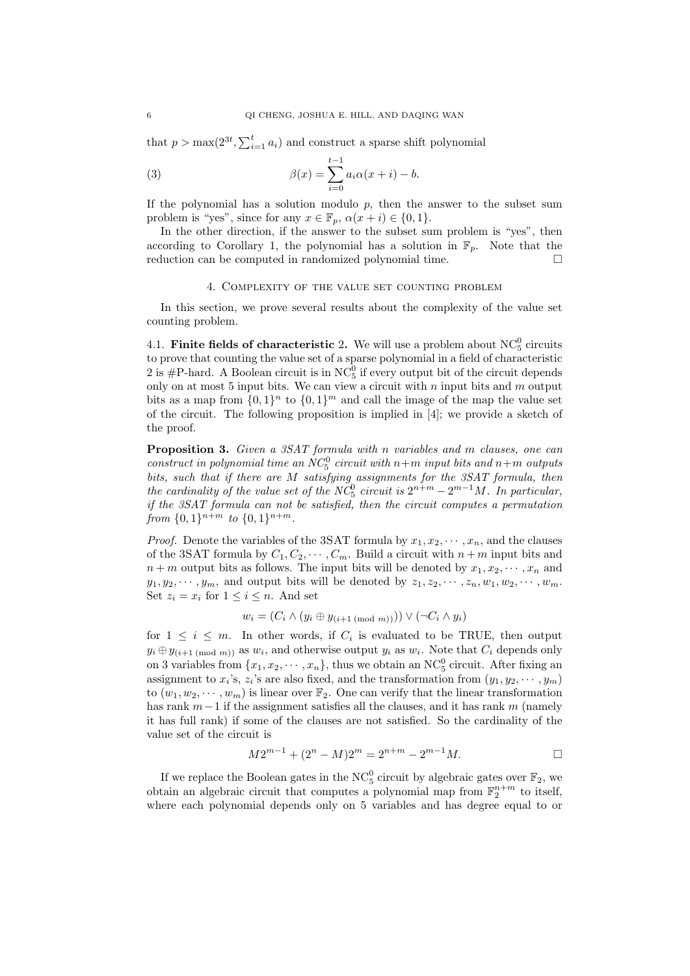that  $p > \max(2^{3t}, \sum_{i=1}^t a_i)$  and construct a sparse shift polynomial

(3) 
$$
\beta(x) = \sum_{i=0}^{t-1} a_i \alpha(x+i) - b.
$$

If the polynomial has a solution modulo  $p$ , then the answer to the subset sum problem is "yes", since for any  $x \in \mathbb{F}_p$ ,  $\alpha(x+i) \in \{0,1\}$ .

In the other direction, if the answer to the subset sum problem is "yes", then according to Corollary 1, the polynomial has a solution in  $\mathbb{F}_p$ . Note that the reduction can be computed in randomized polynomial time.

## 4. Complexity of the value set counting problem

In this section, we prove several results about the complexity of the value set counting problem.

4.1. **Finite fields of characteristic 2.** We will use a problem about  $NC_5^0$  circuits to prove that counting the value set of a sparse polynomial in a field of characteristic 2 is #P-hard. A Boolean circuit is in  $NC_5^0$  if every output bit of the circuit depends only on at most 5 input bits. We can view a circuit with *n* input bits and *m* output bits as a map from  $\{0,1\}^n$  to  $\{0,1\}^m$  and call the image of the map the value set of the circuit. The following proposition is implied in [4]; we provide a sketch of the proof.

**Proposition 3.** *Given a 3SAT formula with n variables and m clauses, one can construct in polynomial time an*  $NC_5^0$  *circuit with*  $n+m$  *input bits and*  $n+m$  *outputs bits, such that if there are M satisfying assignments for the 3SAT formula, then the cardinality of the value set of the*  $NC_5^0$  *circuit is*  $2^{n+m} - 2^{m-1}M$ *. In particular, if the 3SAT formula can not be satisfied, then the circuit computes a permutation from*  $\{0, 1\}^{n+m}$  *to*  $\{0, 1\}^{n+m}$ *.* 

*Proof.* Denote the variables of the 3SAT formula by  $x_1, x_2, \dots, x_n$ , and the clauses of the 3SAT formula by  $C_1, C_2, \cdots, C_m$ . Build a circuit with  $n+m$  input bits and  $n+m$  output bits as follows. The input bits will be denoted by  $x_1, x_2, \dots, x_n$  and  $y_1, y_2, \dots, y_m$ , and output bits will be denoted by  $z_1, z_2, \dots, z_n, w_1, w_2, \dots, w_m$ . Set  $z_i = x_i$  for  $1 \leq i \leq n$ . And set

$$
w_i = (C_i \wedge (y_i \oplus y_{(i+1 \pmod{m})})) \vee (\neg C_i \wedge y_i)
$$

for  $1 \leq i \leq m$ . In other words, if  $C_i$  is evaluated to be TRUE, then output  $y_i \oplus y_{(i+1 \pmod{m})}$  as  $w_i$ , and otherwise output  $y_i$  as  $w_i$ . Note that  $C_i$  depends only on 3 variables from  $\{x_1, x_2, \dots, x_n\}$ , thus we obtain an NC<sup>0</sup><sub>5</sub> circuit. After fixing an assignment to  $x_i$ 's,  $z_i$ 's are also fixed, and the transformation from  $(y_1, y_2, \dots, y_m)$ to  $(w_1, w_2, \dots, w_m)$  is linear over  $\mathbb{F}_2$ . One can verify that the linear transformation has rank *m−*1 if the assignment satisfies all the clauses, and it has rank *m* (namely it has full rank) if some of the clauses are not satisfied. So the cardinality of the value set of the circuit is

$$
M2^{m-1} + (2^n - M)2^m = 2^{n+m} - 2^{m-1}M.
$$

If we replace the Boolean gates in the NC<sup>0</sup><sub>5</sub> circuit by algebraic gates over  $\mathbb{F}_2$ , we obtain an algebraic circuit that computes a polynomial map from  $\mathbb{F}_2^{n+m}$  to itself, where each polynomial depends only on 5 variables and has degree equal to or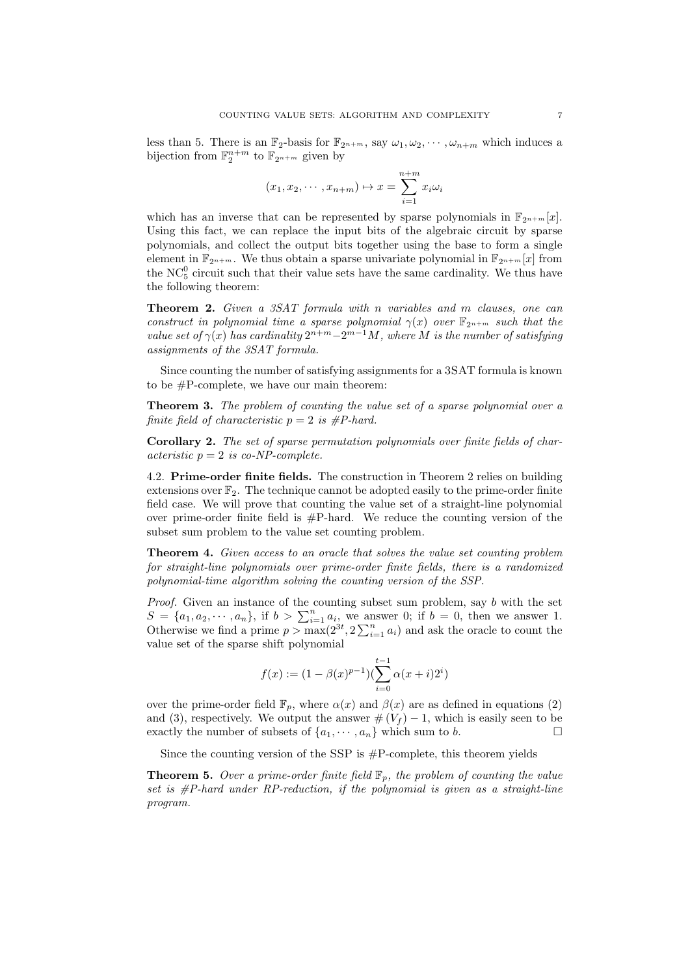less than 5. There is an  $\mathbb{F}_2$ -basis for  $\mathbb{F}_{2^{n+m}}$ , say  $\omega_1, \omega_2, \cdots, \omega_{n+m}$  which induces a bijection from  $\mathbb{F}_2^{n+m}$  to  $\mathbb{F}_{2^{n+m}}$  given by

$$
(x_1, x_2, \cdots, x_{n+m}) \mapsto x = \sum_{i=1}^{n+m} x_i \omega_i
$$

which has an inverse that can be represented by sparse polynomials in  $\mathbb{F}_{2n+m}[x]$ . Using this fact, we can replace the input bits of the algebraic circuit by sparse polynomials, and collect the output bits together using the base to form a single element in  $\mathbb{F}_{2^{n+m}}$ . We thus obtain a sparse univariate polynomial in  $\mathbb{F}_{2^{n+m}}[x]$  from the  $NC_5^0$  circuit such that their value sets have the same cardinality. We thus have the following theorem:

**Theorem 2.** *Given a 3SAT formula with n variables and m clauses, one can construct in polynomial time a sparse polynomial*  $\gamma(x)$  *over*  $\mathbb{F}_{2^{n+m}}$  *such that the value set of*  $\gamma(x)$  *has cardinality*  $2^{n+m}-2^{m-1}M$ *, where M is the number of satisfying assignments of the 3SAT formula.*

Since counting the number of satisfying assignments for a 3SAT formula is known to be #P-complete, we have our main theorem:

**Theorem 3.** *The problem of counting the value set of a sparse polynomial over a finite field of characteristic*  $p = 2$  *is #P-hard.* 

**Corollary 2.** *The set of sparse permutation polynomials over finite fields of characteristic p* = 2 *is co-NP-complete.*

4.2. **Prime-order finite fields.** The construction in Theorem 2 relies on building extensions over  $\mathbb{F}_2$ . The technique cannot be adopted easily to the prime-order finite field case. We will prove that counting the value set of a straight-line polynomial over prime-order finite field is  $\#P$ -hard. We reduce the counting version of the subset sum problem to the value set counting problem.

**Theorem 4.** *Given access to an oracle that solves the value set counting problem for straight-line polynomials over prime-order finite fields, there is a randomized polynomial-time algorithm solving the counting version of the SSP.*

*Proof.* Given an instance of the counting subset sum problem, say *b* with the set  $S = \{a_1, a_2, \dots, a_n\}$ , if  $b > \sum_{i=1}^n a_i$ , we answer 0; if  $b = 0$ , then we answer 1. Otherwise we find a prime  $p > \max(2^{3t}, 2\sum_{i=1}^n a_i)$  and ask the oracle to count the value set of the sparse shift polynomial

$$
f(x) := (1 - \beta(x)^{p-1})(\sum_{i=0}^{t-1} \alpha(x+i)2^i)
$$

over the prime-order field  $\mathbb{F}_p$ , where  $\alpha(x)$  and  $\beta(x)$  are as defined in equations (2) and (3), respectively. We output the answer  $\#(V_f) - 1$ , which is easily seen to be exactly the number of subsets of  $\{a_1, \dots, a_n\}$  which sum to *b*.

Since the counting version of the SSP is  $#P$ -complete, this theorem yields

**Theorem 5.** *Over a prime-order finite field*  $\mathbb{F}_p$ *, the problem of counting the value set is #P-hard under RP-reduction, if the polynomial is given as a straight-line program.*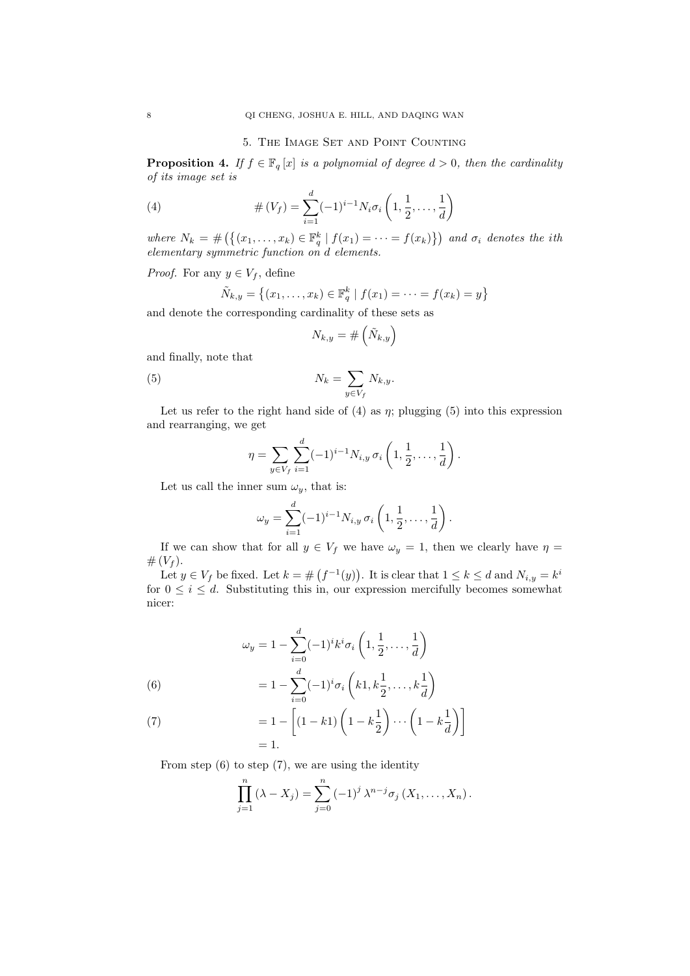### 5. The Image Set and Point Counting

**Proposition 4.** *If*  $f \in \mathbb{F}_q[x]$  *is a polynomial of degree*  $d > 0$ *, then the cardinality of its image set is*

(4) 
$$
\# (V_f) = \sum_{i=1}^d (-1)^{i-1} N_i \sigma_i \left( 1, \frac{1}{2}, \dots, \frac{1}{d} \right)
$$

where  $N_k = #(\{(x_1,\ldots,x_k) \in \mathbb{F}_q^k \mid f(x_1) = \cdots = f(x_k)\})$  and  $\sigma_i$  denotes the ith *elementary symmetric function on d elements.*

*Proof.* For any  $y \in V_f$ , define

$$
\tilde{N}_{k,y} = \{(x_1, \ldots, x_k) \in \mathbb{F}_q^k \mid f(x_1) = \cdots = f(x_k) = y\}
$$

and denote the corresponding cardinality of these sets as

$$
N_{k,y}=\#\left(\tilde{N}_{k,y}\right)
$$

and finally, note that

(5) 
$$
N_k = \sum_{y \in V_f} N_{k,y}.
$$

Let us refer to the right hand side of  $(4)$  as  $\eta$ ; plugging  $(5)$  into this expression and rearranging, we get

$$
\eta = \sum_{y \in V_f} \sum_{i=1}^d (-1)^{i-1} N_{i,y} \,\sigma_i\left(1, \frac{1}{2}, \ldots, \frac{1}{d}\right).
$$

Let us call the inner sum  $\omega_y$ , that is:

$$
\omega_y = \sum_{i=1}^d (-1)^{i-1} N_{i,y} \,\sigma_i\left(1, \frac{1}{2}, \ldots, \frac{1}{d}\right).
$$

If we can show that for all  $y \in V_f$  we have  $\omega_y = 1$ , then we clearly have  $\eta =$  $# (V_f).$ 

Let  $y \in V_f$  be fixed. Let  $k = \#(f^{-1}(y))$ . It is clear that  $1 \leq k \leq d$  and  $N_{i,y} = k^i$ for  $0 \leq i \leq d$ . Substituting this in, our expression mercifully becomes somewhat nicer:

(6)  

$$
\omega_y = 1 - \sum_{i=0}^d (-1)^i k^i \sigma_i \left( 1, \frac{1}{2}, \dots, \frac{1}{d} \right)
$$

$$
= 1 - \sum_{i=0}^d (-1)^i \sigma_i \left( k1, k \frac{1}{2}, \dots, k \frac{1}{d} \right)
$$

(7) 
$$
= 1 - \left[ (1 - k1) \left( 1 - k \frac{1}{2} \right) \cdots \left( 1 - k \frac{1}{d} \right) \right]
$$

$$
= 1.
$$

From step  $(6)$  to step  $(7)$ , we are using the identity

$$
\prod_{j=1}^{n} (\lambda - X_j) = \sum_{j=0}^{n} (-1)^j \lambda^{n-j} \sigma_j (X_1, ..., X_n).
$$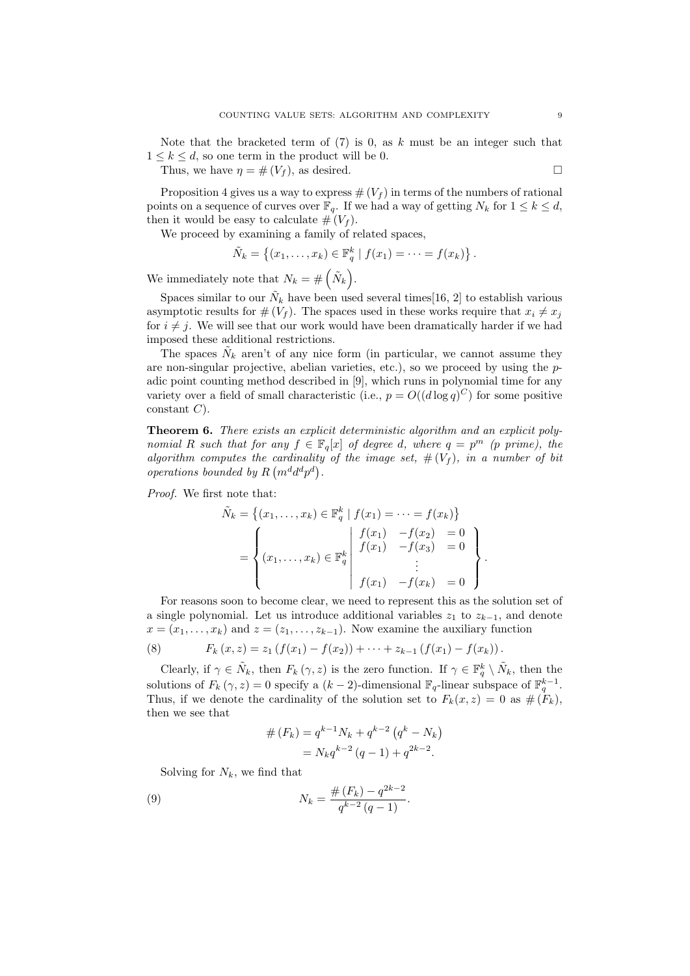Note that the bracketed term of (7) is 0, as *k* must be an integer such that  $1 \leq k \leq d$ , so one term in the product will be 0.

Thus, we have  $\eta = \#(V_f)$ , as desired.

Proposition 4 gives us a way to express  $\#(V_f)$  in terms of the numbers of rational points on a sequence of curves over  $\mathbb{F}_q$ . If we had a way of getting  $N_k$  for  $1 \leq k \leq d$ , then it would be easy to calculate  $# (V_f)$ .

We proceed by examining a family of related spaces,

$$
\tilde{N}_k = \left\{ (x_1, \ldots, x_k) \in \mathbb{F}_q^k \mid f(x_1) = \cdots = f(x_k) \right\}.
$$

We immediately note that  $N_k = \#\left(\tilde{N}_k\right)$ .

Spaces similar to our  $\tilde{N}_k$  have been used several times[16, 2] to establish various asymptotic results for  $# (V_f)$ . The spaces used in these works require that  $x_i \neq x_j$ for  $i \neq j$ . We will see that our work would have been dramatically harder if we had imposed these additional restrictions.

The spaces  $\tilde{N}_k$  aren't of any nice form (in particular, we cannot assume they are non-singular projective, abelian varieties, etc.), so we proceed by using the *p*adic point counting method described in [9], which runs in polynomial time for any variety over a field of small characteristic (i.e.,  $p = O((d \log q)^C)$  for some positive constant *C*).

**Theorem 6.** *There exists an explicit deterministic algorithm and an explicit polynomial R such that for any*  $f \in \mathbb{F}_q[x]$  *of degree d, where*  $q = p^m$  *(p prime), the algorithm computes the cardinality of the image set,*  $# (V_f)$ *, in a number of bit operations bounded by*  $R(m^d d^d p^d)$ .

*Proof.* We first note that:

$$
\tilde{N}_k = \left\{ (x_1, \dots, x_k) \in \mathbb{F}_q^k \mid f(x_1) = \dots = f(x_k) \right\}
$$

$$
= \begin{cases} \begin{cases} f(x_1) & -f(x_2) = 0 \\ f(x_1) & -f(x_3) = 0 \end{cases} \\ (x_1, \dots, x_k) \in \mathbb{F}_q^k \begin{cases} f(x_1) & -f(x_3) = 0 \\ \vdots \\ f(x_1) & -f(x_k) = 0 \end{cases} \end{cases}.
$$

For reasons soon to become clear, we need to represent this as the solution set of a single polynomial. Let us introduce additional variables  $z_1$  to  $z_{k-1}$ , and denote  $x = (x_1, \ldots, x_k)$  and  $z = (z_1, \ldots, z_{k-1})$ . Now examine the auxiliary function

(8) 
$$
F_k(x, z) = z_1 \left( f(x_1) - f(x_2) \right) + \dots + z_{k-1} \left( f(x_1) - f(x_k) \right).
$$

Clearly, if  $\gamma \in \tilde{N}_k$ , then  $F_k(\gamma, z)$  is the zero function. If  $\gamma \in \mathbb{F}_q^k \setminus \tilde{N}_k$ , then the solutions of  $F_k(\gamma, z) = 0$  specify a  $(k-2)$ -dimensional  $\mathbb{F}_q$ -linear subspace of  $\mathbb{F}_q^{k-1}$ . Thus, if we denote the cardinality of the solution set to  $F_k(x, z) = 0$  as  $# (F_k)$ , then we see that

$$
# (F_k) = q^{k-1} N_k + q^{k-2} (q^k - N_k)
$$
  
=  $N_k q^{k-2} (q - 1) + q^{2k-2}$ .

Solving for  $N_k$ , we find that

(9) 
$$
N_k = \frac{\#(F_k) - q^{2k-2}}{q^{k-2}(q-1)}.
$$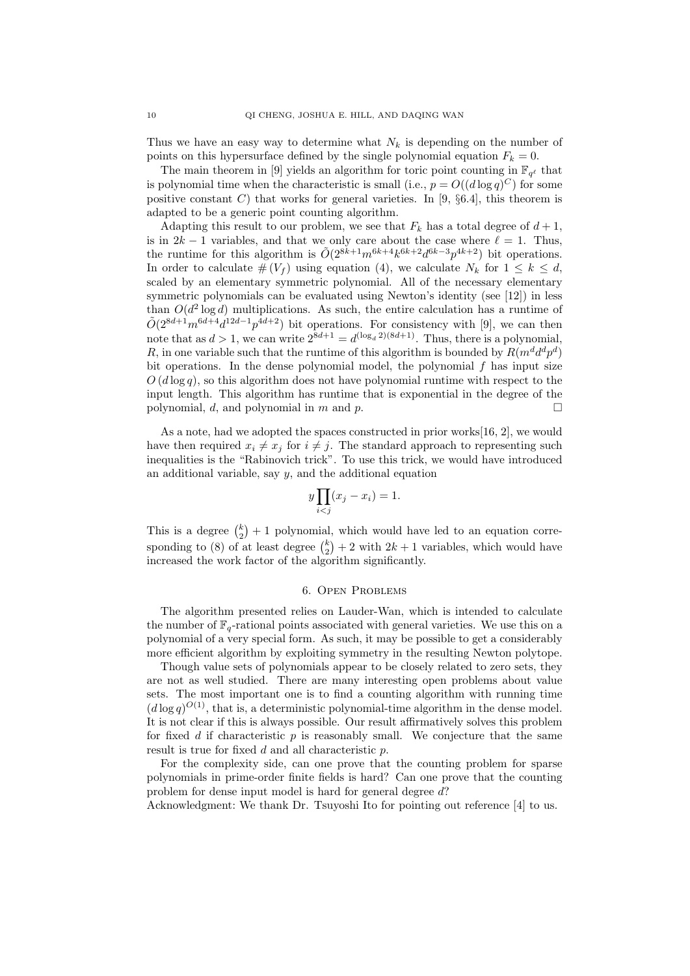Thus we have an easy way to determine what  $N_k$  is depending on the number of points on this hypersurface defined by the single polynomial equation  $F_k = 0$ .

The main theorem in [9] yields an algorithm for toric point counting in  $\mathbb{F}_{q^{\ell}}$  that is polynomial time when the characteristic is small (i.e.,  $p = O((d \log q)^C)$  for some positive constant *C*) that works for general varieties. In [9, *§*6.4], this theorem is adapted to be a generic point counting algorithm.

Adapting this result to our problem, we see that  $F_k$  has a total degree of  $d+1$ , is in  $2k - 1$  variables, and that we only care about the case where  $\ell = 1$ . Thus, the runtime for this algorithm is  $\tilde{O}(2^{8k+1}m^{6k+4}k^{6k+2}d^{6k-3}p^{4k+2})$  bit operations. In order to calculate  $\#(V_f)$  using equation (4), we calculate  $N_k$  for  $1 \leq k \leq d$ , scaled by an elementary symmetric polynomial. All of the necessary elementary symmetric polynomials can be evaluated using Newton's identity (see [12]) in less than  $O(d^2 \log d)$  multiplications. As such, the entire calculation has a runtime of  $O(2^{8d+1}m^{6d+4}d^{12d-1}p^{4d+2})$  bit operations. For consistency with [9], we can then note that as  $d > 1$ , we can write  $2^{8d+1} = d^{(\log_d 2)(8d+1)}$ . Thus, there is a polynomial, *R*, in one variable such that the runtime of this algorithm is bounded by  $R(m^d d^d p^d)$ bit operations. In the dense polynomial model, the polynomial *f* has input size  $O(d \log q)$ , so this algorithm does not have polynomial runtime with respect to the input length. This algorithm has runtime that is exponential in the degree of the polynomial, *d*, and polynomial in *m* and *p*.

As a note, had we adopted the spaces constructed in prior works  $[16, 2]$ , we would have then required  $x_i \neq x_j$  for  $i \neq j$ . The standard approach to representing such inequalities is the "Rabinovich trick". To use this trick, we would have introduced an additional variable, say *y*, and the additional equation

$$
y\prod_{i
$$

This is a degree  $\binom{k}{2}+1$  polynomial, which would have led to an equation corresponding to (8) of at least degree  $\binom{k}{2}+2$  with  $2k+1$  variables, which would have increased the work factor of the algorithm significantly.

## 6. Open Problems

The algorithm presented relies on Lauder-Wan, which is intended to calculate the number of  $\mathbb{F}_q$ -rational points associated with general varieties. We use this on a polynomial of a very special form. As such, it may be possible to get a considerably more efficient algorithm by exploiting symmetry in the resulting Newton polytope.

Though value sets of polynomials appear to be closely related to zero sets, they are not as well studied. There are many interesting open problems about value sets. The most important one is to find a counting algorithm with running time  $(d \log q)^{O(1)}$ , that is, a deterministic polynomial-time algorithm in the dense model. It is not clear if this is always possible. Our result affirmatively solves this problem for fixed  $d$  if characteristic  $p$  is reasonably small. We conjecture that the same result is true for fixed *d* and all characteristic *p*.

For the complexity side, can one prove that the counting problem for sparse polynomials in prime-order finite fields is hard? Can one prove that the counting problem for dense input model is hard for general degree *d*?

Acknowledgment: We thank Dr. Tsuyoshi Ito for pointing out reference [4] to us.